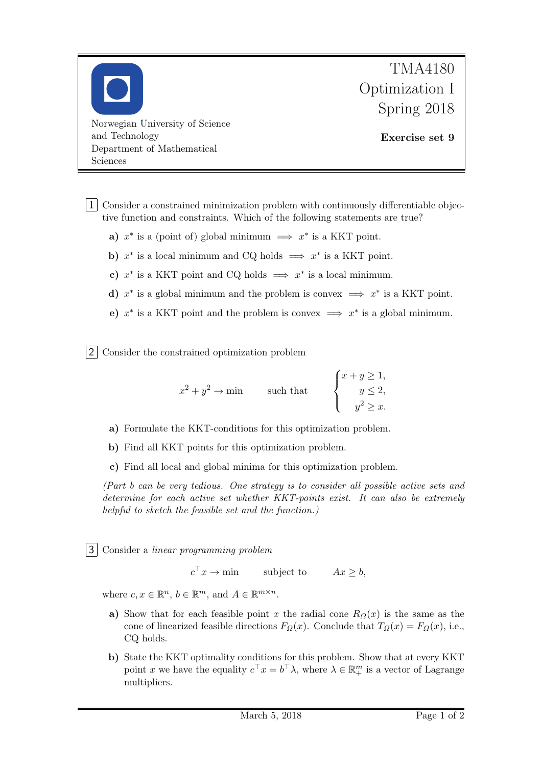

1 Consider a constrained minimization problem with continuously differentiable objective function and constraints. Which of the following statements are true?

- a)  $x^*$  is a (point of) global minimum  $\implies x^*$  is a KKT point.
- b)  $x^*$  is a local minimum and CQ holds  $\implies x^*$  is a KKT point.
- c)  $x^*$  is a KKT point and CQ holds  $\implies x^*$  is a local minimum.
- d)  $x^*$  is a global minimum and the problem is convex  $\implies x^*$  is a KKT point.
- e)  $x^*$  is a KKT point and the problem is convex  $\implies x^*$  is a global minimum.

2 Consider the constrained optimization problem

$$
x^{2} + y^{2} \rightarrow \min \qquad \text{such that} \qquad \begin{cases} x + y \geq 1, \\ y \leq 2, \\ y^{2} \geq x. \end{cases}
$$

- a) Formulate the KKT-conditions for this optimization problem.
- b) Find all KKT points for this optimization problem.
- c) Find all local and global minima for this optimization problem.

(Part b can be very tedious. One strategy is to consider all possible active sets and determine for each active set whether KKT-points exist. It can also be extremely helpful to sketch the feasible set and the function.)

3 Consider a linear programming problem

 $c^{\top}x \to \text{min}$  subject to  $Ax \geq b$ ,

where  $c, x \in \mathbb{R}^n$ ,  $b \in \mathbb{R}^m$ , and  $A \in \mathbb{R}^{m \times n}$ .

- a) Show that for each feasible point x the radial cone  $R_{\Omega}(x)$  is the same as the cone of linearized feasible directions  $F_{\Omega}(x)$ . Conclude that  $T_{\Omega}(x) = F_{\Omega}(x)$ , i.e., CQ holds.
- b) State the KKT optimality conditions for this problem. Show that at every KKT point x we have the equality  $c^{\top} x = b^{\top} \lambda$ , where  $\lambda \in \mathbb{R}^m_+$  is a vector of Lagrange multipliers.